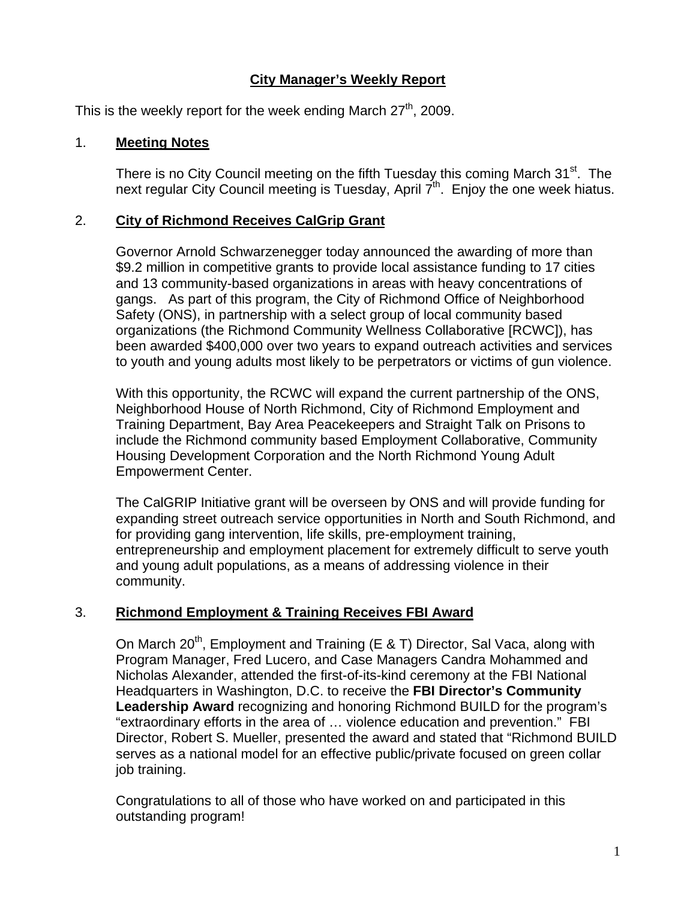# **City Manager's Weekly Report**

This is the weekly report for the week ending March  $27<sup>th</sup>$ , 2009.

### 1. **Meeting Notes**

There is no City Council meeting on the fifth Tuesday this coming March 31<sup>st</sup>. The next regular City Council meeting is Tuesday, April  $7<sup>th</sup>$ . Enjoy the one week hiatus.

## 2. **City of Richmond Receives CalGrip Grant**

Governor Arnold Schwarzenegger today announced the awarding of more than \$9.2 million in competitive grants to provide local assistance funding to 17 cities and 13 community-based organizations in areas with heavy concentrations of gangs. As part of this program, the City of Richmond Office of Neighborhood Safety (ONS), in partnership with a select group of local community based organizations (the Richmond Community Wellness Collaborative [RCWC]), has been awarded \$400,000 over two years to expand outreach activities and services to youth and young adults most likely to be perpetrators or victims of gun violence.

With this opportunity, the RCWC will expand the current partnership of the ONS, Neighborhood House of North Richmond, City of Richmond Employment and Training Department, Bay Area Peacekeepers and Straight Talk on Prisons to include the Richmond community based Employment Collaborative, Community Housing Development Corporation and the North Richmond Young Adult Empowerment Center.

The CalGRIP Initiative grant will be overseen by ONS and will provide funding for expanding street outreach service opportunities in North and South Richmond, and for providing gang intervention, life skills, pre-employment training, entrepreneurship and employment placement for extremely difficult to serve youth and young adult populations, as a means of addressing violence in their community.

## 3. **Richmond Employment & Training Receives FBI Award**

On March 20<sup>th</sup>, Employment and Training (E & T) Director, Sal Vaca, along with Program Manager, Fred Lucero, and Case Managers Candra Mohammed and Nicholas Alexander, attended the first-of-its-kind ceremony at the FBI National Headquarters in Washington, D.C. to receive the **FBI Director's Community Leadership Award** recognizing and honoring Richmond BUILD for the program's "extraordinary efforts in the area of … violence education and prevention." FBI Director, Robert S. Mueller, presented the award and stated that "Richmond BUILD serves as a national model for an effective public/private focused on green collar job training.

Congratulations to all of those who have worked on and participated in this outstanding program!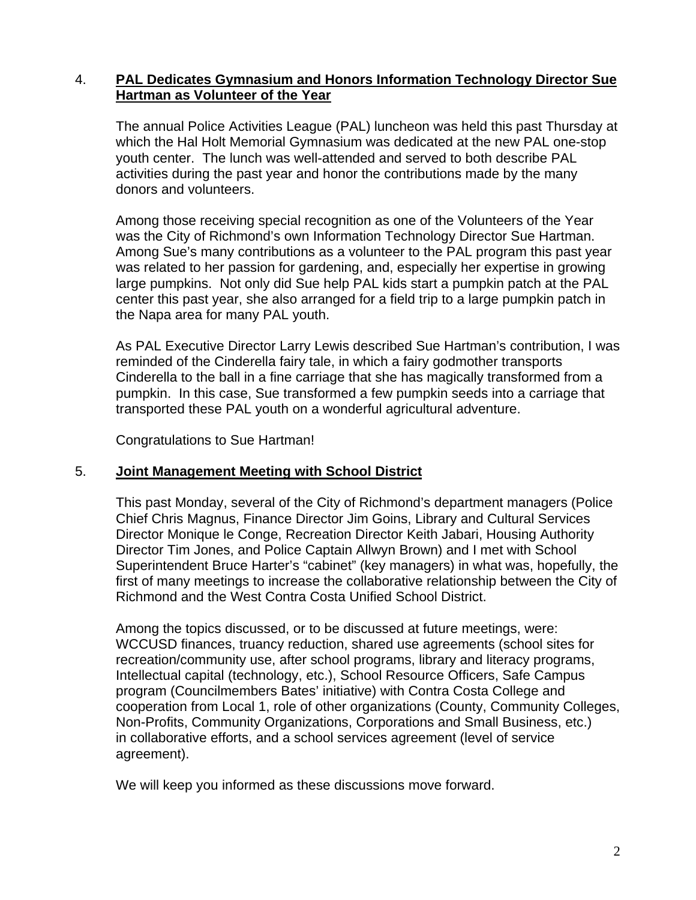#### 4. **PAL Dedicates Gymnasium and Honors Information Technology Director Sue Hartman as Volunteer of the Year**

The annual Police Activities League (PAL) luncheon was held this past Thursday at which the Hal Holt Memorial Gymnasium was dedicated at the new PAL one-stop youth center. The lunch was well-attended and served to both describe PAL activities during the past year and honor the contributions made by the many donors and volunteers.

Among those receiving special recognition as one of the Volunteers of the Year was the City of Richmond's own Information Technology Director Sue Hartman. Among Sue's many contributions as a volunteer to the PAL program this past year was related to her passion for gardening, and, especially her expertise in growing large pumpkins. Not only did Sue help PAL kids start a pumpkin patch at the PAL center this past year, she also arranged for a field trip to a large pumpkin patch in the Napa area for many PAL youth.

As PAL Executive Director Larry Lewis described Sue Hartman's contribution, I was reminded of the Cinderella fairy tale, in which a fairy godmother transports Cinderella to the ball in a fine carriage that she has magically transformed from a pumpkin. In this case, Sue transformed a few pumpkin seeds into a carriage that transported these PAL youth on a wonderful agricultural adventure.

Congratulations to Sue Hartman!

#### 5. **Joint Management Meeting with School District**

This past Monday, several of the City of Richmond's department managers (Police Chief Chris Magnus, Finance Director Jim Goins, Library and Cultural Services Director Monique le Conge, Recreation Director Keith Jabari, Housing Authority Director Tim Jones, and Police Captain Allwyn Brown) and I met with School Superintendent Bruce Harter's "cabinet" (key managers) in what was, hopefully, the first of many meetings to increase the collaborative relationship between the City of Richmond and the West Contra Costa Unified School District.

Among the topics discussed, or to be discussed at future meetings, were: WCCUSD finances, truancy reduction, shared use agreements (school sites for recreation/community use, after school programs, library and literacy programs, Intellectual capital (technology, etc.), School Resource Officers, Safe Campus program (Councilmembers Bates' initiative) with Contra Costa College and cooperation from Local 1, role of other organizations (County, Community Colleges, Non-Profits, Community Organizations, Corporations and Small Business, etc.) in collaborative efforts, and a school services agreement (level of service agreement).

We will keep you informed as these discussions move forward.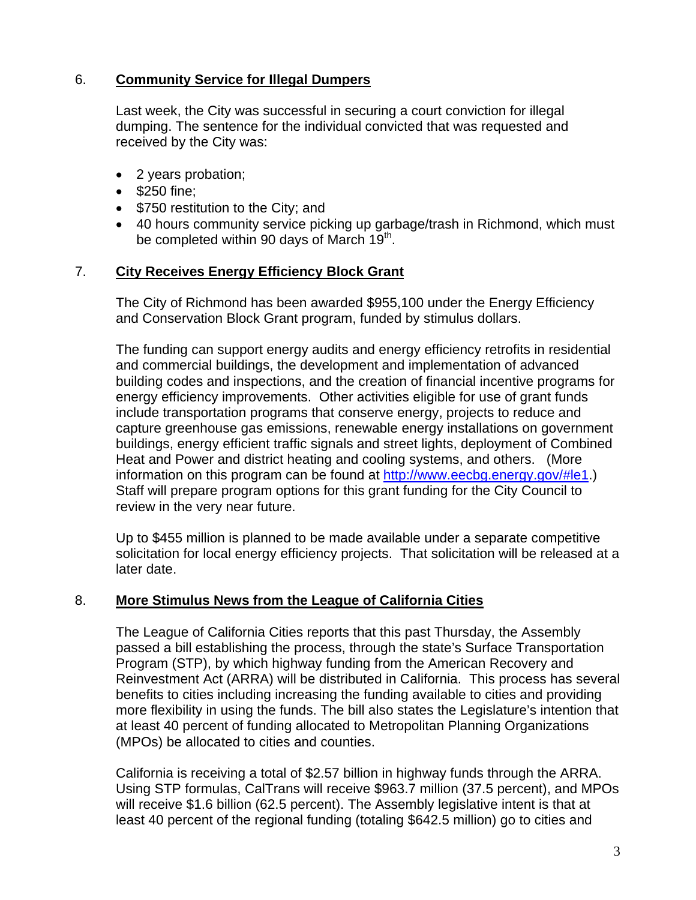## 6. **Community Service for Illegal Dumpers**

Last week, the City was successful in securing a court conviction for illegal dumping. The sentence for the individual convicted that was requested and received by the City was:

- 2 years probation;
- \$250 fine;
- \$750 restitution to the City; and
- 40 hours community service picking up garbage/trash in Richmond, which must be completed within 90 days of March  $19<sup>th</sup>$ .

#### 7. **City Receives Energy Efficiency Block Grant**

The City of Richmond has been awarded \$955,100 under the Energy Efficiency and Conservation Block Grant program, funded by stimulus dollars.

The funding can support energy audits and energy efficiency retrofits in residential and commercial buildings, the development and implementation of advanced building codes and inspections, and the creation of financial incentive programs for energy efficiency improvements. Other activities eligible for use of grant funds include transportation programs that conserve energy, projects to reduce and capture greenhouse gas emissions, renewable energy installations on government buildings, energy efficient traffic signals and street lights, deployment of Combined Heat and Power and district heating and cooling systems, and others. (More information on this program can be found at<http://www.eecbg.energy.gov/#le1>.) Staff will prepare program options for this grant funding for the City Council to review in the very near future.

Up to \$455 million is planned to be made available under a separate competitive solicitation for local energy efficiency projects. That solicitation will be released at a later date.

#### 8. **More Stimulus News from the League of California Cities**

The League of California Cities reports that this past Thursday, the Assembly passed a bill establishing the process, through the state's Surface Transportation Program (STP), by which highway funding from the American Recovery and Reinvestment Act (ARRA) will be distributed in California. This process has several benefits to cities including increasing the funding available to cities and providing more flexibility in using the funds. The bill also states the Legislature's intention that at least 40 percent of funding allocated to Metropolitan Planning Organizations (MPOs) be allocated to cities and counties.

California is receiving a total of \$2.57 billion in highway funds through the ARRA. Using STP formulas, CalTrans will receive \$963.7 million (37.5 percent), and MPOs will receive \$1.6 billion (62.5 percent). The Assembly legislative intent is that at least 40 percent of the regional funding (totaling \$642.5 million) go to cities and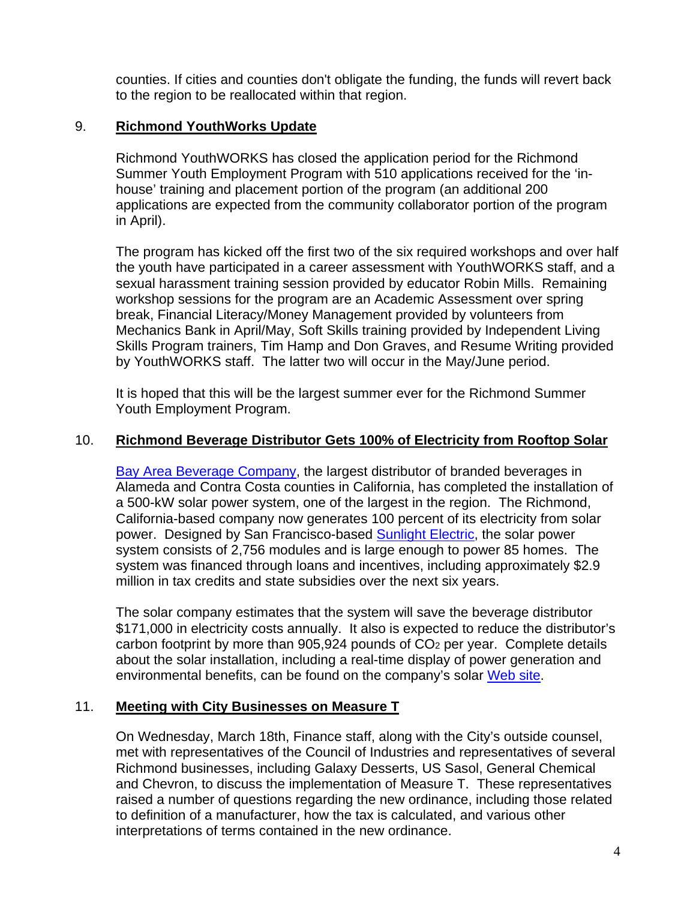counties. If cities and counties don't obligate the funding, the funds will revert back to the region to be reallocated within that region.

## 9. **Richmond YouthWorks Update**

Richmond YouthWORKS has closed the application period for the Richmond Summer Youth Employment Program with 510 applications received for the 'inhouse' training and placement portion of the program (an additional 200 applications are expected from the community collaborator portion of the program in April).

The program has kicked off the first two of the six required workshops and over half the youth have participated in a career assessment with YouthWORKS staff, and a sexual harassment training session provided by educator Robin Mills. Remaining workshop sessions for the program are an Academic Assessment over spring break, Financial Literacy/Money Management provided by volunteers from Mechanics Bank in April/May, Soft Skills training provided by Independent Living Skills Program trainers, Tim Hamp and Don Graves, and Resume Writing provided by YouthWORKS staff. The latter two will occur in the May/June period.

It is hoped that this will be the largest summer ever for the Richmond Summer Youth Employment Program.

### 10. **Richmond Beverage Distributor Gets 100% of Electricity from Rooftop Solar**

[Bay Area Beverage Company,](http://bayareabev.net/) the largest distributor of branded beverages in Alameda and Contra Costa counties in California, has completed the installation of a 500-kW solar power system, one of the largest in the region. The Richmond, California-based company now generates 100 percent of its electricity from solar power. Designed by San Francisco-based [Sunlight Electric](http://sunlightelectric.com/), the solar power system consists of 2,756 modules and is large enough to power 85 homes. The system was financed through loans and incentives, including approximately \$2.9 million in tax credits and state subsidies over the next six years.

The solar company estimates that the system will save the beverage distributor \$171,000 in electricity costs annually. It also is expected to reduce the distributor's carbon footprint by more than 905,924 pounds of CO2 per year. Complete details about the solar installation, including a real-time display of power generation and environmental benefits, can be found on the company's solar [Web site.](http://view2.fatspaniel.net/PV2Web/merge?&view=PV/standard/HostedDetail&eid=191335)

#### 11. **Meeting with City Businesses on Measure T**

On Wednesday, March 18th, Finance staff, along with the City's outside counsel, met with representatives of the Council of Industries and representatives of several Richmond businesses, including Galaxy Desserts, US Sasol, General Chemical and Chevron, to discuss the implementation of Measure T. These representatives raised a number of questions regarding the new ordinance, including those related to definition of a manufacturer, how the tax is calculated, and various other interpretations of terms contained in the new ordinance.